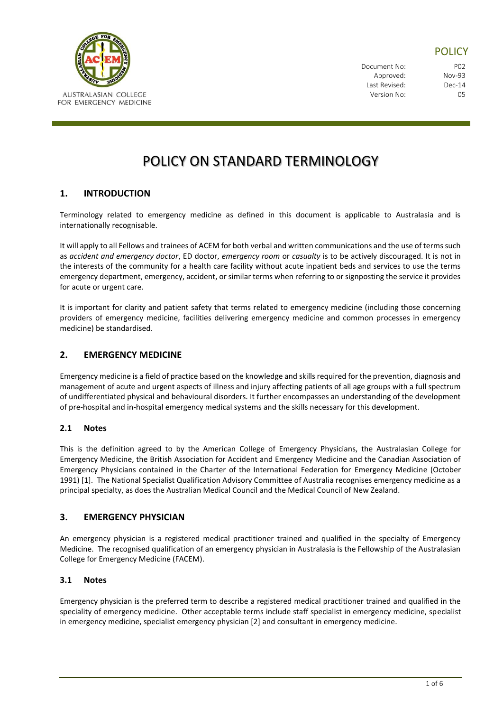

## **POLICY**

Document No: P02 Approved: Nov-93 Last Revised: Dec-14 Version No: 05

# POLICY ON STANDARD TERMINOLOGY

## **1. INTRODUCTION**

Terminology related to emergency medicine as defined in this document is applicable to Australasia and is internationally recognisable.

It will apply to all Fellows and trainees of ACEM for both verbal and written communications and the use of terms such as *accident and emergency doctor*, ED doctor, *emergency room* or *casualty* is to be actively discouraged. It is not in the interests of the community for a health care facility without acute inpatient beds and services to use the terms emergency department, emergency, accident, or similar terms when referring to or signposting the service it provides for acute or urgent care.

It is important for clarity and patient safety that terms related to emergency medicine (including those concerning providers of emergency medicine, facilities delivering emergency medicine and common processes in emergency medicine) be standardised.

## **2. EMERGENCY MEDICINE**

Emergency medicine is a field of practice based on the knowledge and skills required for the prevention, diagnosis and management of acute and urgent aspects of illness and injury affecting patients of all age groups with a full spectrum of undifferentiated physical and behavioural disorders. It further encompasses an understanding of the development of pre-hospital and in-hospital emergency medical systems and the skills necessary for this development.

## **2.1 Notes**

This is the definition agreed to by the American College of Emergency Physicians, the Australasian College for Emergency Medicine, the British Association for Accident and Emergency Medicine and the Canadian Association of Emergency Physicians contained in the Charter of the International Federation for Emergency Medicine (October 1991) [1]. The National Specialist Qualification Advisory Committee of Australia recognises emergency medicine as a principal specialty, as does the Australian Medical Council and the Medical Council of New Zealand.

## **3. EMERGENCY PHYSICIAN**

An emergency physician is a registered medical practitioner trained and qualified in the specialty of Emergency Medicine. The recognised qualification of an emergency physician in Australasia is the Fellowship of the Australasian College for Emergency Medicine (FACEM).

## **3.1 Notes**

Emergency physician is the preferred term to describe a registered medical practitioner trained and qualified in the speciality of emergency medicine. Other acceptable terms include staff specialist in emergency medicine, specialist in emergency medicine, specialist emergency physician [2] and consultant in emergency medicine.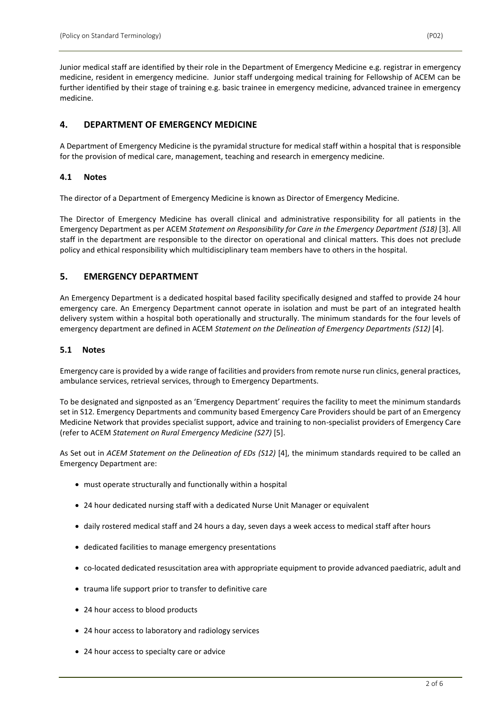Junior medical staff are identified by their role in the Department of Emergency Medicine e.g. registrar in emergency medicine, resident in emergency medicine. Junior staff undergoing medical training for Fellowship of ACEM can be further identified by their stage of training e.g. basic trainee in emergency medicine, advanced trainee in emergency medicine.

## **4. DEPARTMENT OF EMERGENCY MEDICINE**

A Department of Emergency Medicine is the pyramidal structure for medical staff within a hospital that is responsible for the provision of medical care, management, teaching and research in emergency medicine.

## **4.1 Notes**

The director of a Department of Emergency Medicine is known as Director of Emergency Medicine.

The Director of Emergency Medicine has overall clinical and administrative responsibility for all patients in the Emergency Department as per ACEM *Statement on Responsibility for Care in the Emergency Department (S18)* [3]. All staff in the department are responsible to the director on operational and clinical matters. This does not preclude policy and ethical responsibility which multidisciplinary team members have to others in the hospital.

## **5. EMERGENCY DEPARTMENT**

An Emergency Department is a dedicated hospital based facility specifically designed and staffed to provide 24 hour emergency care. An Emergency Department cannot operate in isolation and must be part of an integrated health delivery system within a hospital both operationally and structurally. The minimum standards for the four levels of emergency department are defined in ACEM *Statement on the Delineation of Emergency Departments (S12)* [4].

## **5.1 Notes**

Emergency care is provided by a wide range of facilities and providers from remote nurse run clinics, general practices, ambulance services, retrieval services, through to Emergency Departments.

To be designated and signposted as an 'Emergency Department' requires the facility to meet the minimum standards set in S12. Emergency Departments and community based Emergency Care Providers should be part of an Emergency Medicine Network that provides specialist support, advice and training to non-specialist providers of Emergency Care (refer to ACEM *Statement on Rural Emergency Medicine (S27)* [5].

As Set out in *ACEM Statement on the Delineation of EDs (S12)* [4], the minimum standards required to be called an Emergency Department are:

- must operate structurally and functionally within a hospital
- 24 hour dedicated nursing staff with a dedicated Nurse Unit Manager or equivalent
- daily rostered medical staff and 24 hours a day, seven days a week access to medical staff after hours
- dedicated facilities to manage emergency presentations
- co-located dedicated resuscitation area with appropriate equipment to provide advanced paediatric, adult and
- trauma life support prior to transfer to definitive care
- 24 hour access to blood products
- 24 hour access to laboratory and radiology services
- 24 hour access to specialty care or advice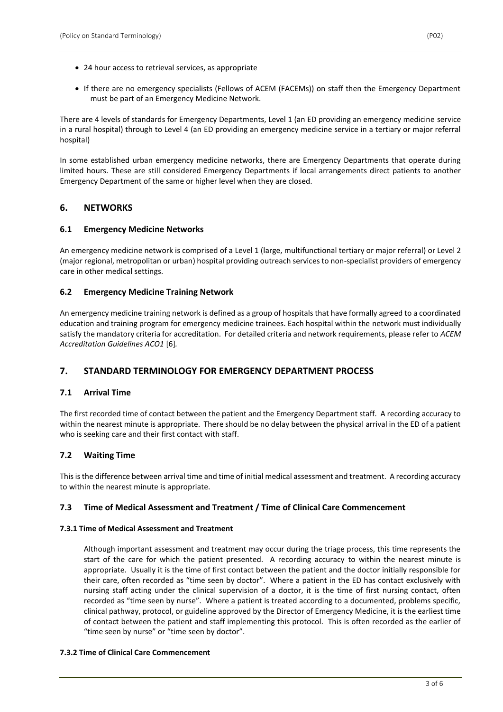- 24 hour access to retrieval services, as appropriate
- If there are no emergency specialists (Fellows of ACEM (FACEMs)) on staff then the Emergency Department must be part of an Emergency Medicine Network.

There are 4 levels of standards for Emergency Departments, Level 1 (an ED providing an emergency medicine service in a rural hospital) through to Level 4 (an ED providing an emergency medicine service in a tertiary or major referral hospital)

In some established urban emergency medicine networks, there are Emergency Departments that operate during limited hours. These are still considered Emergency Departments if local arrangements direct patients to another Emergency Department of the same or higher level when they are closed.

## **6. NETWORKS**

## **6.1 Emergency Medicine Networks**

An emergency medicine network is comprised of a Level 1 (large, multifunctional tertiary or major referral) or Level 2 (major regional, metropolitan or urban) hospital providing outreach services to non-specialist providers of emergency care in other medical settings.

## **6.2 Emergency Medicine Training Network**

An emergency medicine training network is defined as a group of hospitals that have formally agreed to a coordinated education and training program for emergency medicine trainees. Each hospital within the network must individually satisfy the mandatory criteria for accreditation. For detailed criteria and network requirements, please refer to *ACEM Accreditation Guidelines ACO1* [6]*.* 

## **7. STANDARD TERMINOLOGY FOR EMERGENCY DEPARTMENT PROCESS**

## **7.1 Arrival Time**

The first recorded time of contact between the patient and the Emergency Department staff. A recording accuracy to within the nearest minute is appropriate. There should be no delay between the physical arrival in the ED of a patient who is seeking care and their first contact with staff.

## **7.2 Waiting Time**

This is the difference between arrival time and time of initial medical assessment and treatment. A recording accuracy to within the nearest minute is appropriate.

## **7.3 Time of Medical Assessment and Treatment / Time of Clinical Care Commencement**

#### **7.3.1 Time of Medical Assessment and Treatment**

Although important assessment and treatment may occur during the triage process, this time represents the start of the care for which the patient presented. A recording accuracy to within the nearest minute is appropriate. Usually it is the time of first contact between the patient and the doctor initially responsible for their care, often recorded as "time seen by doctor". Where a patient in the ED has contact exclusively with nursing staff acting under the clinical supervision of a doctor, it is the time of first nursing contact, often recorded as "time seen by nurse". Where a patient is treated according to a documented, problems specific, clinical pathway, protocol, or guideline approved by the Director of Emergency Medicine, it is the earliest time of contact between the patient and staff implementing this protocol. This is often recorded as the earlier of "time seen by nurse" or "time seen by doctor".

#### **7.3.2 Time of Clinical Care Commencement**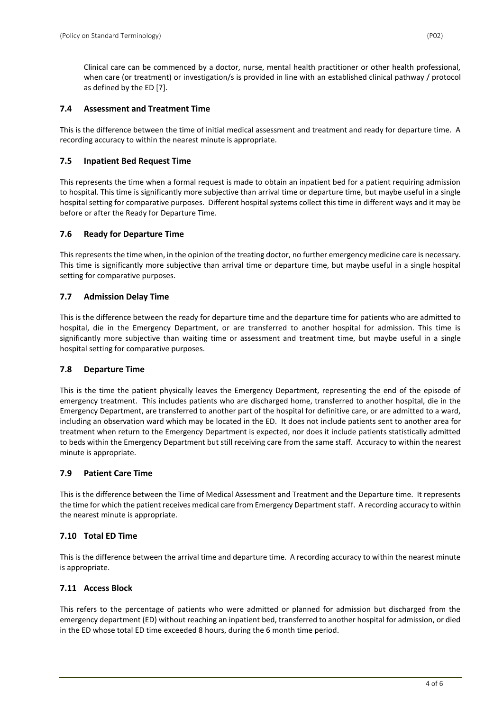#### **7.4 Assessment and Treatment Time**

This is the difference between the time of initial medical assessment and treatment and ready for departure time. A recording accuracy to within the nearest minute is appropriate.

#### **7.5 Inpatient Bed Request Time**

This represents the time when a formal request is made to obtain an inpatient bed for a patient requiring admission to hospital. This time is significantly more subjective than arrival time or departure time, but maybe useful in a single hospital setting for comparative purposes. Different hospital systems collect this time in different ways and it may be before or after the Ready for Departure Time.

#### **7.6 Ready for Departure Time**

This represents the time when, in the opinion of the treating doctor, no further emergency medicine care is necessary. This time is significantly more subjective than arrival time or departure time, but maybe useful in a single hospital setting for comparative purposes.

#### **7.7 Admission Delay Time**

This is the difference between the ready for departure time and the departure time for patients who are admitted to hospital, die in the Emergency Department, or are transferred to another hospital for admission. This time is significantly more subjective than waiting time or assessment and treatment time, but maybe useful in a single hospital setting for comparative purposes.

#### **7.8 Departure Time**

This is the time the patient physically leaves the Emergency Department, representing the end of the episode of emergency treatment. This includes patients who are discharged home, transferred to another hospital, die in the Emergency Department, are transferred to another part of the hospital for definitive care, or are admitted to a ward, including an observation ward which may be located in the ED. It does not include patients sent to another area for treatment when return to the Emergency Department is expected, nor does it include patients statistically admitted to beds within the Emergency Department but still receiving care from the same staff. Accuracy to within the nearest minute is appropriate.

## **7.9 Patient Care Time**

This is the difference between the Time of Medical Assessment and Treatment and the Departure time. It represents the time for which the patient receives medical care from Emergency Department staff. A recording accuracy to within the nearest minute is appropriate.

## **7.10 Total ED Time**

This is the difference between the arrival time and departure time. A recording accuracy to within the nearest minute is appropriate.

## **7.11 Access Block**

This refers to the percentage of patients who were admitted or planned for admission but discharged from the emergency department (ED) without reaching an inpatient bed, transferred to another hospital for admission, or died in the ED whose total ED time exceeded 8 hours, during the 6 month time period.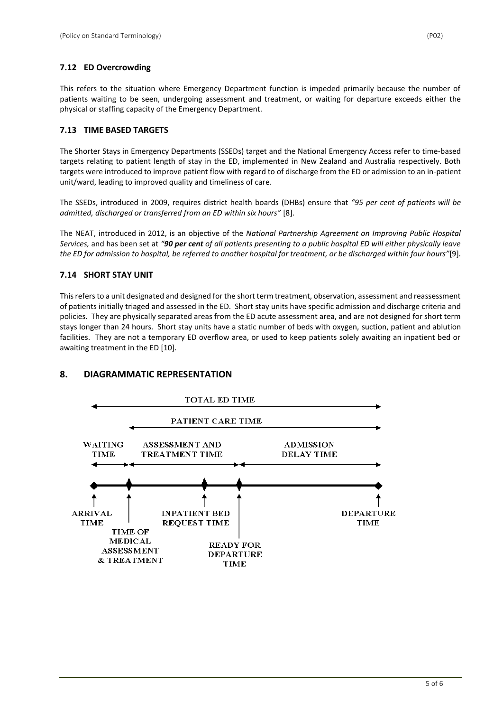## **7.12 ED Overcrowding**

This refers to the situation where Emergency Department function is impeded primarily because the number of patients waiting to be seen, undergoing assessment and treatment, or waiting for departure exceeds either the physical or staffing capacity of the Emergency Department.

## **7.13 TIME BASED TARGETS**

The Shorter Stays in Emergency Departments (SSEDs) target and the National Emergency Access refer to time-based targets relating to patient length of stay in the ED, implemented in New Zealand and Australia respectively. Both targets were introduced to improve patient flow with regard to of discharge from the ED or admission to an in-patient unit/ward, leading to improved quality and timeliness of care.

The SSEDs, introduced in 2009, requires district health boards (DHBs) ensure that *"95 per cent of patients will be admitted, discharged or transferred from an ED within six hours"* [8].

The NEAT, introduced in 2012, is an objective of the *National Partnership Agreement on Improving Public Hospital Services,* and has been set at *"90 per cent of all patients presenting to a public hospital ED will either physically leave the ED for admission to hospital, be referred to another hospital for treatment, or be discharged within four hours"*[9].

## **7.14 SHORT STAY UNIT**

This refers to a unit designated and designed for the short term treatment, observation, assessment and reassessment of patients initially triaged and assessed in the ED. Short stay units have specific admission and discharge criteria and policies. They are physically separated areas from the ED acute assessment area, and are not designed for short term stays longer than 24 hours. Short stay units have a static number of beds with oxygen, suction, patient and ablution facilities. They are not a temporary ED overflow area, or used to keep patients solely awaiting an inpatient bed or awaiting treatment in the ED [10].

## **8. DIAGRAMMATIC REPRESENTATION**